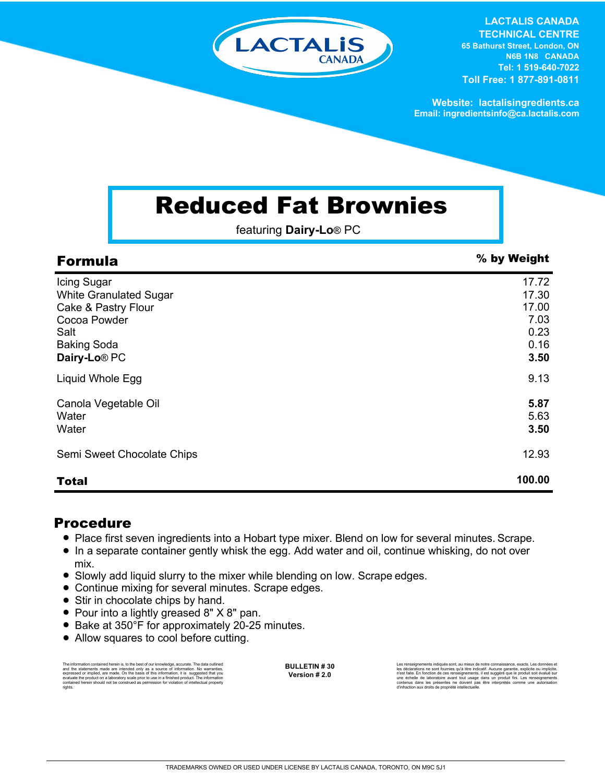

**LACTALIS CANADA TECHNICAL CENTRE 65 Bathurst Street, London, ON N6B 1N8 CANADA Tel: 1 519-640-7022 Toll Free: 1 877-891-0811**

**Website: lactalisingredients.ca Email: ingredientsinfo@ca.lactalis.com**

# Reduced Fat Brownies

featuring **Dairy-Lo**® PC

| <b>Formula</b>                               | % by Weight    |
|----------------------------------------------|----------------|
| Icing Sugar<br><b>White Granulated Sugar</b> | 17.72<br>17.30 |
| Cake & Pastry Flour<br>Cocoa Powder          | 17.00<br>7.03  |
| Salt<br><b>Baking Soda</b>                   | 0.23<br>0.16   |
| Dairy-Lo <sup>®</sup> PC                     | 3.50           |
| Liquid Whole Egg                             | 9.13           |
| Canola Vegetable Oil<br>Water                | 5.87<br>5.63   |
| Water                                        | 3.50           |
| Semi Sweet Chocolate Chips                   | 12.93          |
| <b>Total</b>                                 | 100.00         |

### Procedure

- Place first seven ingredients into a Hobart type mixer. Blend on low for several minutes. Scrape.
- In a separate container gently whisk the egg. Add water and oil, continue whisking, do not over mix.
- Slowly add liquid slurry to the mixer while blending on low. Scrape edges.
- Continue mixing for several minutes. Scrape edges.
- Stir in chocolate chips by hand.
- Pour into a lightly greased 8" X 8" pan.
- Bake at 350°F for approximately 20-25 minutes.
- Allow squares to cool before cutting.

The information contained herein is, to the best of our knowledge, accurate. The data cutlined the statements made are intended only as a source of information. No warranties, expressed or implied, are made. On the basis o

**BULLETIN # 30 Version # 2.0**

Les renseignements indiqués sont, au mieux de notre connaissance, exacts. Les données et<br>les déclarations ne sont fournies qu'à titre indicatif. Aucune garantie, explicite ou implicite,<br>rèst faite. En fonction de ces rense